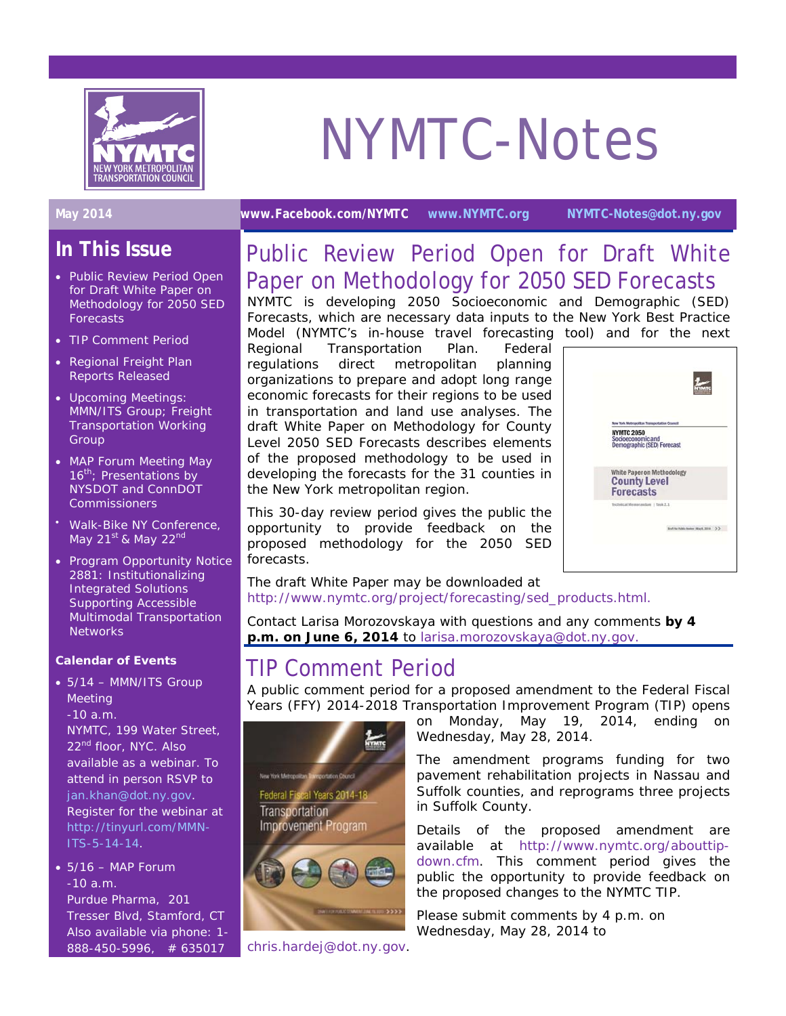

# NYMTC-Notes

## **In This Issue**

- Public Review Period Open for Draft White Paper on Methodology for 2050 SED **Forecasts**
- TIP Comment Period
- Regional Freight Plan Reports Released
- Upcoming Meetings: MMN/ITS Group; Freight Transportation Working **Group**
- MAP Forum Meeting May 16<sup>th</sup>; Presentations by NYSDOT and ConnDOT **Commissioners**
- Walk-Bike NY Conference, May 21<sup>st</sup> & May 22<sup>nd</sup>
- Program Opportunity Notice 2881: Institutionalizing Integrated Solutions Supporting Accessible Multimodal Transportation **Networks**

#### **Calendar of Events**

- 5/14 MMN/ITS Group Meeting -10 a.m. NYMTC, 199 Water Street, 22<sup>nd</sup> floor, NYC. Also available as a webinar. To attend in person RSVP to [jan.khan@dot.ny.gov](mailto:jan.khan@dot.ny.gov). Register for the webinar at [http://tinyurl.com/MMN-](http://tinyurl.com/MMN-ITS-5-14-14)[ITS-5-14-14](http://tinyurl.com/MMN-ITS-5-14-14).
- $5/16 MAP$  Forum  $-10$  a.m. Purdue Pharma, 201 Tresser Blvd, Stamford, CT Also available via phone: 1- 888-450-5996, # 635017

#### **May 2014 [www.Facebook.com/NYMTC](http://www.facebook.com/NYMTC) [www.NYMTC.org](http://www.nymtc.org/) [NYMTC-Notes@dot.ny.gov](mailto:NYMTC-Notes@dot.ny.gov)**

Public Review Period Open for Draft White Paper on Methodology for 2050 SED Forecasts

NYMTC is developing 2050 Socioeconomic and Demographic (SED) Forecasts, which are necessary data inputs to the New York Best Practice Model (NYMTC's in-house travel forecasting tool) and for the next

Regional Transportation Plan. Federal regulations direct metropolitan planning organizations to prepare and adopt long range economic forecasts for their regions to be used in transportation and land use analyses. The draft White Paper on Methodology for County Level 2050 SED Forecasts describes elements of the proposed methodology to be used in developing the forecasts for the 31 counties in the New York metropolitan region.

**NYMTC 2050** Socioeconomic and<br>Demographic (SED) Forecast White Paper on Methodology **County Level Forecasts**  $Hence that B11332333$ 

This 30-day review period gives the public the opportunity to provide feedback on the proposed methodology for the 2050 SED forecasts.

The draft White Paper may be downloaded at [http://www.nymtc.org/project/forecasting/sed\\_products.html](http://www.nymtc.org/project/forecasting/sed_products.html).

Contact Larisa Morozovskaya with questions and any comments **by 4 p.m. on June 6, 2014** to [larisa.morozovskaya@dot.ny.gov.](mailto:larisa.morozovskaya@dot.ny.gov)

## TIP Comment Period

A public comment period for a proposed amendment to the Federal Fiscal Years (FFY) 2014-2018 Transportation Improvement Program (TIP) opens



[chris.hardej@dot.ny.gov](mailto:chris.hardej@dot.ny.gov).

on Monday, May 19, 2014, ending on Wednesday, May 28, 2014.

The amendment programs funding for two pavement rehabilitation projects in Nassau and Suffolk counties, and reprograms three projects in Suffolk County.

Details of the proposed amendment are available at [http://www.nymtc.org/abouttip](http://www.nymtc.org/abouttip-down.cfm)[down.cfm.](http://www.nymtc.org/abouttip-down.cfm) This comment period gives the public the opportunity to provide feedback on the proposed changes to the NYMTC TIP.

Please submit comments by 4 p.m. on Wednesday, May 28, 2014 to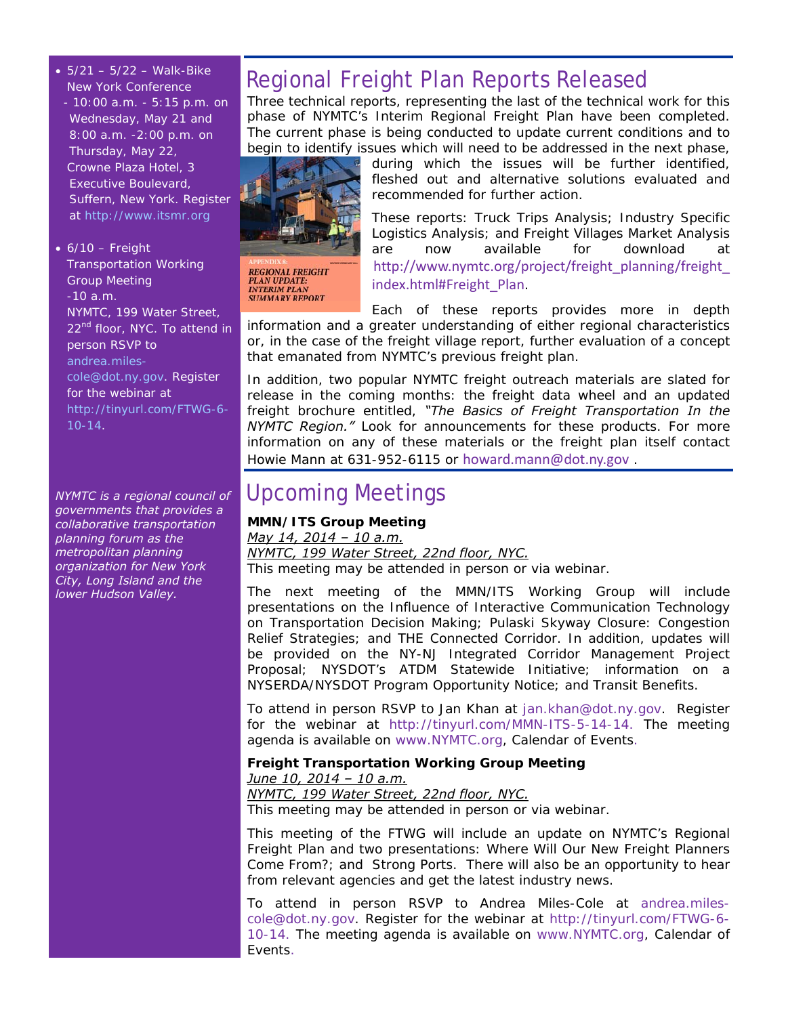- $5/21 5/22 Walk-Bike$ New York Conference
- 10:00 a.m. 5:15 p.m. on Wednesday, May 21 and 8:00 a.m. -2:00 p.m. on Thursday, May 22, Crowne Plaza Hotel, 3 Executive Boulevard, Suffern, New York. Register at [http://www.itsmr.org](http://www.itsmr.org/)
- 6/10 Freight Transportation Working Group Meeting -10 a.m. NYMTC, 199 Water Street, 22<sup>nd</sup> floor, NYC. To attend in person RSVP to [andrea.miles](mailto:andrea.miles-cole@dot.ny.gov)[cole@dot.ny.gov.](mailto:andrea.miles-cole@dot.ny.gov) Register for the webinar at [http://tinyurl.com/FTWG-6-](http://tinyurl.com/FTWG-6-10-14) [10-14](http://tinyurl.com/FTWG-6-10-14).

*NYMTC is a regional council of governments that provides a collaborative transportation planning forum as the metropolitan planning organization for New York City, Long Island and the lower Hudson Valley.*

## Regional Freight Plan Reports Released

Three technical reports, representing the last of the technical work for this phase of NYMTC's Interim Regional Freight Plan have been completed. The current phase is being conducted to update current conditions and to begin to identify issues which will need to be addressed in the next phase,



**PLAN UPDATE: INTERIM PLAN SUMMARY REPORT** 

during which the issues will be further identified, fleshed out and alternative solutions evaluated and recommended for further action.

These reports: Truck Trips Analysis; Industry Specific Logistics Analysis; and Freight Villages Market Analysis are now available for download at [http://www.nymtc.org/project/freight\\_planning/freight\\_](http://www.nymtc.org/project/freight_planning/freight_index.html#Freight_Plan) [index.html#Freight\\_Plan](http://www.nymtc.org/project/freight_planning/freight_index.html#Freight_Plan).

Each of these reports provides more in depth information and a greater understanding of either regional characteristics or, in the case of the freight village report, further evaluation of a concept that emanated from NYMTC's previous freight plan.

In addition, two popular NYMTC freight outreach materials are slated for release in the coming months: the freight data wheel and an updated freight brochure entitled, *"The Basics of Freight Transportation In the NYMTC Region."* Look for announcements for these products. For more information on any of these materials or the freight plan itself contact Howie Mann at 631-952-6115 or [howard.mann@dot.ny.gov](mailto:howard.mann@dot.ny.gov) .

## Upcoming Meetings

**MMN/ITS Group Meeting**  *May 14, 2014 – 10 a.m. NYMTC, 199 Water Street, 22nd floor, NYC.* This meeting may be attended in person or via webinar.

The next meeting of the MMN/ITS Working Group will include presentations on the Influence of Interactive Communication Technology on Transportation Decision Making; Pulaski Skyway Closure: Congestion Relief Strategies; and THE Connected Corridor. In addition, updates will be provided on the NY-NJ Integrated Corridor Management Project Proposal; NYSDOT's ATDM Statewide Initiative; information on a NYSERDA/NYSDOT Program Opportunity Notice; and Transit Benefits.

To attend in person RSVP to Jan Khan at [jan.khan@dot.ny.gov](mailto:jan.khan@dot.ny.gov). Register for the webinar at <http://tinyurl.com/MMN-ITS-5-14-14>. The meeting agenda is available on [www.NYMTC.org,](http://www.nymtc.org/) Calendar of Events.

#### **Freight Transportation Working Group Meeting**

*June 10, 2014 – 10 a.m.*

*NYMTC, 199 Water Street, 22nd floor, NYC.*

This meeting may be attended in person or via webinar.

This meeting of the FTWG will include an update on NYMTC's Regional Freight Plan and two presentations: Where Will Our New Freight Planners Come From?; and Strong Ports.There will also be an opportunity to hear from relevant agencies and get the latest industry news.

To attend in person RSVP to Andrea Miles-Cole at [andrea.miles](mailto:andrea.miles-cole@dot.ny.gov)[cole@dot.ny.gov.](mailto:andrea.miles-cole@dot.ny.gov) Register for the webinar at [http://tinyurl.com/FTWG-6-](http://tinyurl.com/FTWG-6-10-14) [10-14.](http://tinyurl.com/FTWG-6-10-14) The meeting agenda is available on [www.NYMTC.org](http://www.nymtc.org/), Calendar of Events.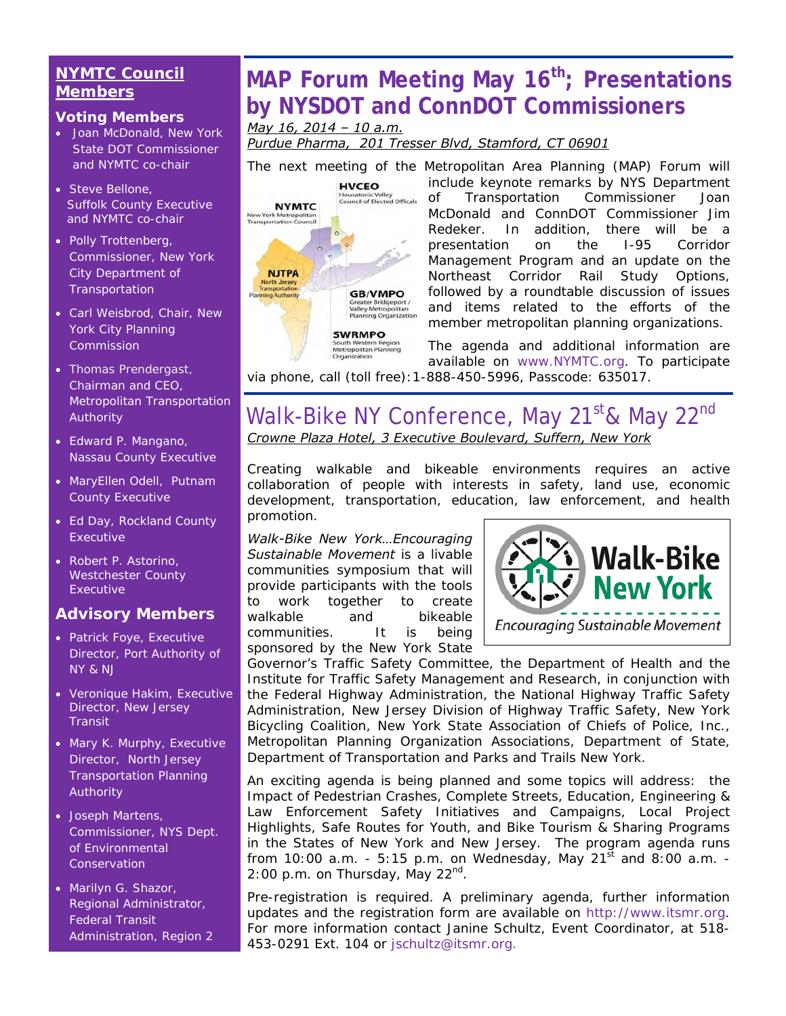### **NYMTC Council Members**

#### **Voting Members**

- Joan McDonald, New York State DOT Commissioner and NYMTC co-chair
- Steve Bellone, Suffolk County Executive and NYMTC co-chair
- Polly Trottenberg, Commissioner, New York City Department of Transportation
- Carl Weisbrod, Chair, New York City Planning Commission
- [Thomas Prendergast](http://www.mta.info/mta/leadership/ferrer.htm), Chairman and CEO, Metropolitan Transportation Authority
- Edward P. Mangano, Nassau County Executive
- MaryEllen Odell, Putnam County Executive
- Ed Day, Rockland County Executive
- Robert P. Astorino, Westchester County **Executive**

#### **Advisory Members**

- Patrick Foye, Executive Director, Port Authority of NY & NJ
- Veronique Hakim, Executive Director, New Jersey **Transit**
- Mary K. Murphy, Executive Director, North Jersey Transportation Planning Authority
- Joseph Martens, Commissioner, NYS Dept. of Environmental Conservation
- Marilyn G. Shazor, Regional Administrator, Federal Transit Administration, Region 2

## **MAP Forum Meeting May 16th; Presentations by NYSDOT and ConnDOT Commissioners**

*May 16, 2014 ‒ 10 a.m.* 

*Purdue Pharma, 201 Tresser Blvd, Stamford, CT 06901*



The next meeting of the Metropolitan Area Planning (MAP) Forum will include keynote remarks by NYS Department of Transportation Commissioner Joan McDonald and ConnDOT Commissioner Jim Redeker. In addition, there will be a presentation on the I-95 Corridor Management Program and an update on the Northeast Corridor Rail Study Options, followed by a roundtable discussion of issues and items related to the efforts of the member metropolitan planning organizations.

> The agenda and additional information are available on [www.NYMTC.org.](http://www.nymtc.org/) To participate

via phone, call (toll free):1-888-450-5996, Passcode: 635017.

## Walk-Bike NY Conference, May 21<sup>st</sup>& May 22<sup>nd</sup> *Crowne Plaza Hotel, 3 Executive Boulevard, Suffern, New York*

Creating walkable and bikeable environments requires an active collaboration of people with interests in safety, land use, economic development, transportation, education, law enforcement, and health promotion.

*Walk-Bike New York…Encouraging Sustainable Movement* is a livable communities symposium that will provide participants with the tools to work together to create walkable and bikeable communities. It is being sponsored by the New York State



Governor's Traffic Safety Committee, the Department of Health and the Institute for Traffic Safety Management and Research, in conjunction with the Federal Highway Administration, the National Highway Traffic Safety Administration, New Jersey Division of Highway Traffic Safety, New York Bicycling Coalition, New York State Association of Chiefs of Police, Inc., Metropolitan Planning Organization Associations, Department of State, Department of Transportation and Parks and Trails New York.

An exciting agenda is being planned and some topics will address: the Impact of Pedestrian Crashes, Complete Streets, Education, Engineering & Law Enforcement Safety Initiatives and Campaigns, Local Project Highlights, Safe Routes for Youth, and Bike Tourism & Sharing Programs in the States of New York and New Jersey. The program agenda runs from 10:00 a.m. - 5:15 p.m. on Wednesday, May  $21^{st}$  and 8:00 a.m. -2:00 p.m. on Thursday, May  $22^{nd}$ .

Pre-registration is required. A preliminary agenda, further information updates and the registration form are available on [http://www.itsmr.org](http://www.itsmr.org/). For more information contact Janine Schultz, Event Coordinator, at 518- 453-0291 Ext. 104 or [jschultz@itsmr.org](mailto:jschultz@itsmr.org).